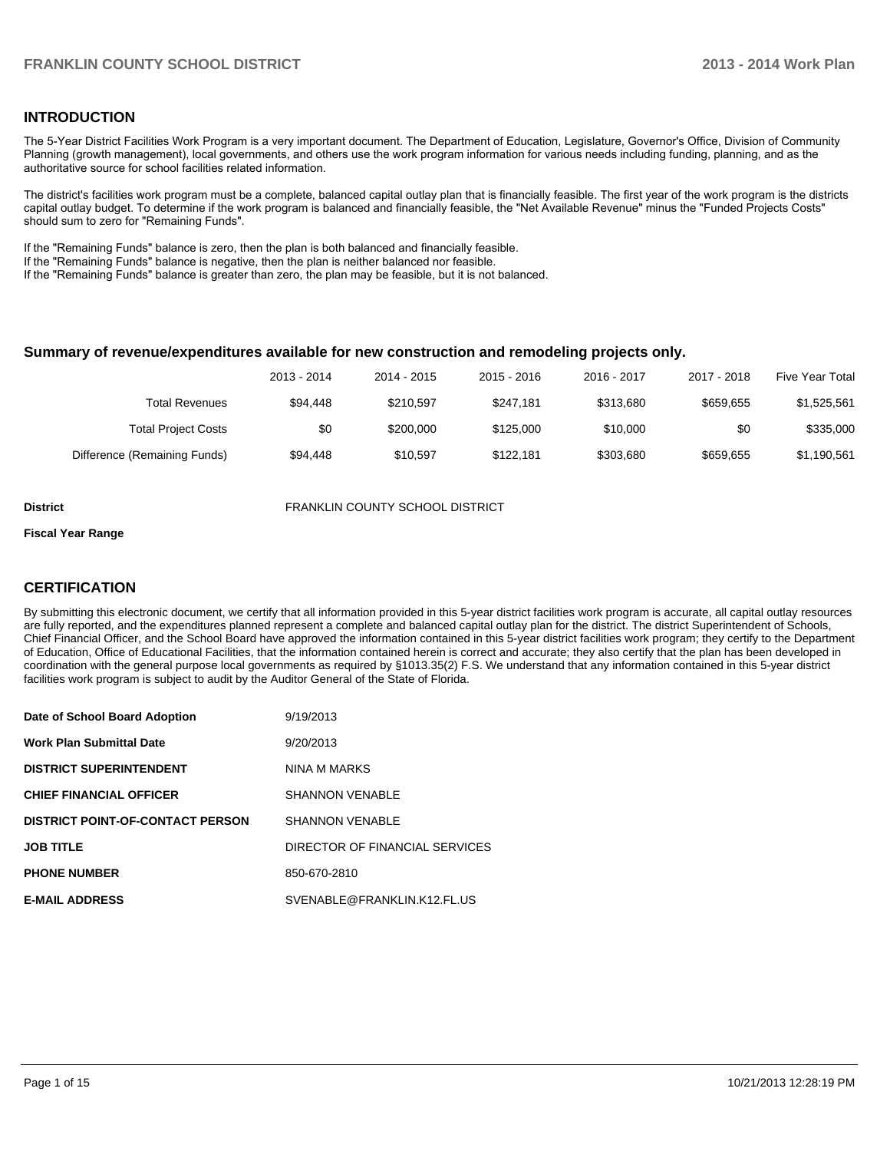## **INTRODUCTION**

The 5-Year District Facilities Work Program is a very important document. The Department of Education, Legislature, Governor's Office, Division of Community Planning (growth management), local governments, and others use the work program information for various needs including funding, planning, and as the authoritative source for school facilities related information.

The district's facilities work program must be a complete, balanced capital outlay plan that is financially feasible. The first year of the work program is the districts capital outlay budget. To determine if the work program is balanced and financially feasible, the "Net Available Revenue" minus the "Funded Projects Costs" should sum to zero for "Remaining Funds".

If the "Remaining Funds" balance is zero, then the plan is both balanced and financially feasible.

If the "Remaining Funds" balance is negative, then the plan is neither balanced nor feasible.

If the "Remaining Funds" balance is greater than zero, the plan may be feasible, but it is not balanced.

#### **Summary of revenue/expenditures available for new construction and remodeling projects only.**

| <b>Five Year Total</b> | 2017 - 2018 | 2016 - 2017 | 2015 - 2016 | 2014 - 2015 | 2013 - 2014 |                              |
|------------------------|-------------|-------------|-------------|-------------|-------------|------------------------------|
| \$1,525,561            | \$659.655   | \$313,680   | \$247.181   | \$210.597   | \$94,448    | Total Revenues               |
| \$335,000              | \$0         | \$10,000    | \$125,000   | \$200,000   | \$0         | <b>Total Project Costs</b>   |
| \$1,190,561            | \$659.655   | \$303.680   | \$122.181   | \$10.597    | \$94,448    | Difference (Remaining Funds) |

**District** FRANKLIN COUNTY SCHOOL DISTRICT

#### **Fiscal Year Range**

## **CERTIFICATION**

By submitting this electronic document, we certify that all information provided in this 5-year district facilities work program is accurate, all capital outlay resources are fully reported, and the expenditures planned represent a complete and balanced capital outlay plan for the district. The district Superintendent of Schools, Chief Financial Officer, and the School Board have approved the information contained in this 5-year district facilities work program; they certify to the Department of Education, Office of Educational Facilities, that the information contained herein is correct and accurate; they also certify that the plan has been developed in coordination with the general purpose local governments as required by §1013.35(2) F.S. We understand that any information contained in this 5-year district facilities work program is subject to audit by the Auditor General of the State of Florida.

| Date of School Board Adoption           | 9/19/2013                      |
|-----------------------------------------|--------------------------------|
| <b>Work Plan Submittal Date</b>         | 9/20/2013                      |
| <b>DISTRICT SUPERINTENDENT</b>          | NINA M MARKS                   |
| <b>CHIEF FINANCIAL OFFICER</b>          | <b>SHANNON VENABLE</b>         |
| <b>DISTRICT POINT-OF-CONTACT PERSON</b> | <b>SHANNON VENABLE</b>         |
| <b>JOB TITLE</b>                        | DIRECTOR OF FINANCIAL SERVICES |
| <b>PHONE NUMBER</b>                     | 850-670-2810                   |
| <b>E-MAIL ADDRESS</b>                   | SVENABLE@FRANKLIN.K12.FL.US    |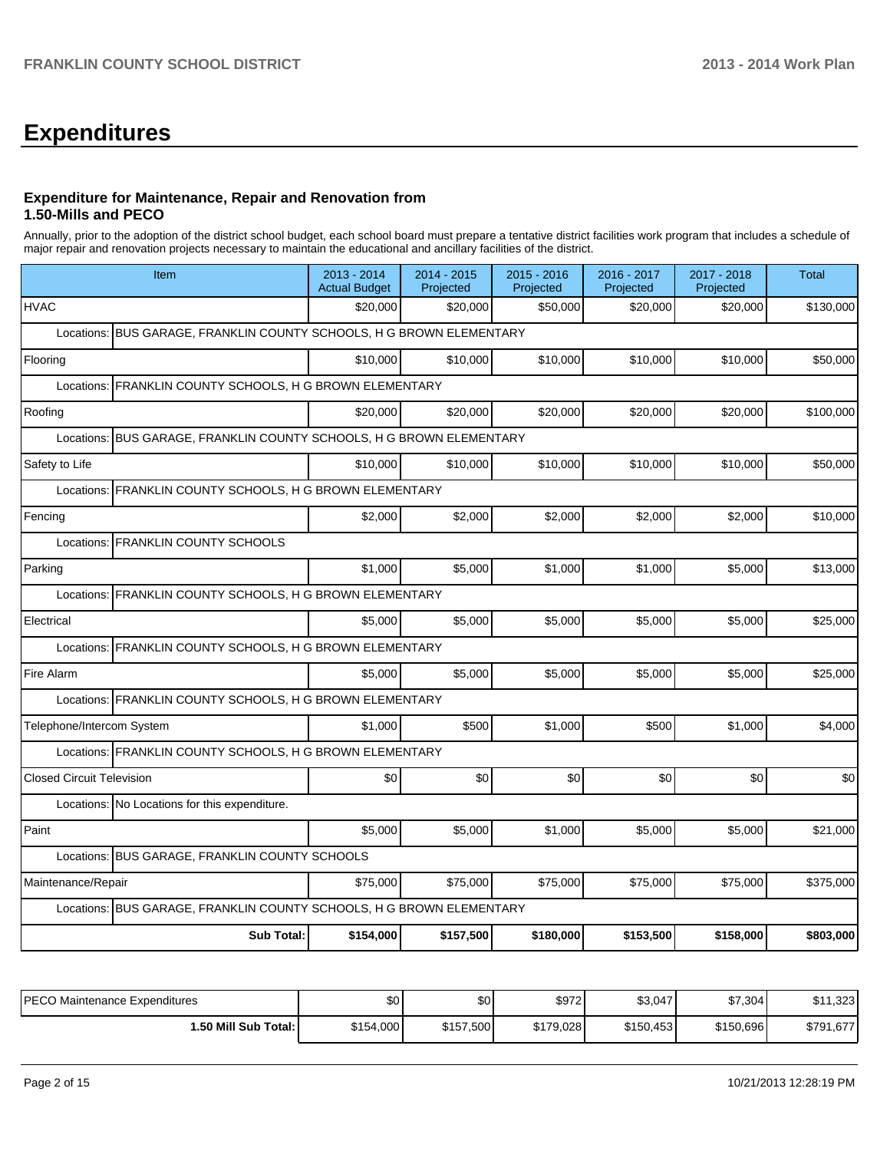# **Expenditures**

## **Expenditure for Maintenance, Repair and Renovation from 1.50-Mills and PECO**

Annually, prior to the adoption of the district school budget, each school board must prepare a tentative district facilities work program that includes a schedule of major repair and renovation projects necessary to maintain the educational and ancillary facilities of the district.

| Item                                                                    | 2013 - 2014<br><b>Actual Budget</b>                      | 2014 - 2015<br>Projected | 2015 - 2016<br>Projected | 2016 - 2017<br>Projected | 2017 - 2018<br>Projected | <b>Total</b> |  |  |  |  |  |
|-------------------------------------------------------------------------|----------------------------------------------------------|--------------------------|--------------------------|--------------------------|--------------------------|--------------|--|--|--|--|--|
| <b>HVAC</b>                                                             | \$20,000                                                 | \$20,000                 | \$50,000                 | \$20,000                 | \$20,000                 | \$130,000    |  |  |  |  |  |
| BUS GARAGE, FRANKLIN COUNTY SCHOOLS, H G BROWN ELEMENTARY<br>Locations: |                                                          |                          |                          |                          |                          |              |  |  |  |  |  |
| Flooring                                                                | \$10,000                                                 | \$10,000                 | \$10,000                 | \$10,000                 | \$10,000                 | \$50,000     |  |  |  |  |  |
|                                                                         | Locations: FRANKLIN COUNTY SCHOOLS, H G BROWN ELEMENTARY |                          |                          |                          |                          |              |  |  |  |  |  |
| Roofing                                                                 | \$20,000                                                 | \$20,000                 | \$20,000                 | \$20,000                 | \$20,000                 | \$100,000    |  |  |  |  |  |
| Locations: BUS GARAGE, FRANKLIN COUNTY SCHOOLS, H G BROWN ELEMENTARY    |                                                          |                          |                          |                          |                          |              |  |  |  |  |  |
| Safety to Life                                                          | \$10,000                                                 | \$10,000                 | \$10,000                 | \$10,000                 | \$10,000                 | \$50,000     |  |  |  |  |  |
| FRANKLIN COUNTY SCHOOLS, H G BROWN ELEMENTARY<br>Locations:             |                                                          |                          |                          |                          |                          |              |  |  |  |  |  |
| Fencing                                                                 | \$2,000                                                  | \$2,000                  | \$2,000                  | \$2,000                  | \$2,000                  | \$10,000     |  |  |  |  |  |
| Locations: FRANKLIN COUNTY SCHOOLS                                      |                                                          |                          |                          |                          |                          |              |  |  |  |  |  |
| Parking                                                                 | \$1,000                                                  | \$5.000                  | \$1.000                  | \$1,000                  | \$5.000                  | \$13,000     |  |  |  |  |  |
| FRANKLIN COUNTY SCHOOLS, H G BROWN ELEMENTARY<br>Locations:             |                                                          |                          |                          |                          |                          |              |  |  |  |  |  |
| Electrical                                                              | \$5,000                                                  | \$5.000                  | \$5,000                  | \$5,000                  | \$5.000                  | \$25,000     |  |  |  |  |  |
| Locations: FRANKLIN COUNTY SCHOOLS, H G BROWN ELEMENTARY                |                                                          |                          |                          |                          |                          |              |  |  |  |  |  |
| Fire Alarm                                                              | \$5,000                                                  | \$5,000                  | \$5,000                  | \$5,000                  | \$5,000                  | \$25,000     |  |  |  |  |  |
| Locations: FRANKLIN COUNTY SCHOOLS, H G BROWN ELEMENTARY                |                                                          |                          |                          |                          |                          |              |  |  |  |  |  |
| Telephone/Intercom System                                               | \$1,000                                                  | \$500                    | \$1,000                  | \$500                    | \$1,000                  | \$4,000      |  |  |  |  |  |
| Locations: FRANKLIN COUNTY SCHOOLS, H G BROWN ELEMENTARY                |                                                          |                          |                          |                          |                          |              |  |  |  |  |  |
| <b>Closed Circuit Television</b>                                        | \$0                                                      | \$0                      | \$0                      | \$0                      | \$0                      | \$0          |  |  |  |  |  |
| Locations: No Locations for this expenditure.                           |                                                          |                          |                          |                          |                          |              |  |  |  |  |  |
| Paint                                                                   | \$5,000                                                  | \$5,000                  | \$1,000                  | \$5,000                  | \$5,000                  | \$21,000     |  |  |  |  |  |
| Locations: BUS GARAGE, FRANKLIN COUNTY SCHOOLS                          |                                                          |                          |                          |                          |                          |              |  |  |  |  |  |
| Maintenance/Repair                                                      | \$75,000                                                 | \$75,000                 | \$75,000                 | \$75,000                 | \$75,000                 | \$375,000    |  |  |  |  |  |
| Locations: BUS GARAGE, FRANKLIN COUNTY SCHOOLS, H G BROWN ELEMENTARY    |                                                          |                          |                          |                          |                          |              |  |  |  |  |  |
| <b>Sub Total:</b>                                                       | \$154,000                                                | \$157,500                | \$180,000                | \$153,500                | \$158,000                | \$803,000    |  |  |  |  |  |

| IPECO Maintenance Expenditures | \$0       | ሶヘ<br>ъU  | \$972     | \$3,047   | \$7,304   | 323<br>$^{\tiny \textcircled{\tiny{A}}\,A}$<br>J۱ |
|--------------------------------|-----------|-----------|-----------|-----------|-----------|---------------------------------------------------|
| 1.50 Mill Sub Total:           | \$154,000 | \$157,500 | \$179,028 | \$150,453 | \$150,696 | \$791,677                                         |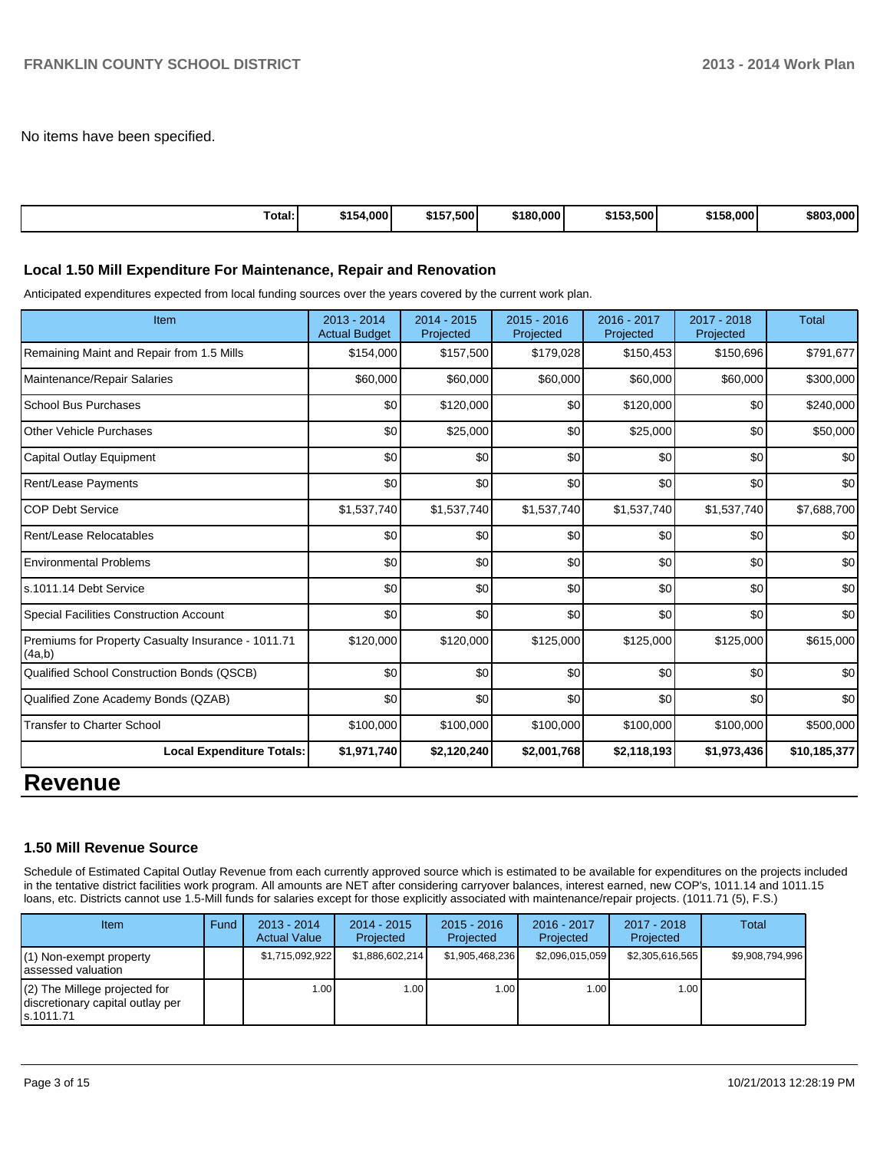No items have been specified.

| Total:<br>\$154,000 | 7.500<br><b>t157</b><br>10. | \$180,000 | \$153,500' | \$158,000 | \$803,000 |
|---------------------|-----------------------------|-----------|------------|-----------|-----------|
|---------------------|-----------------------------|-----------|------------|-----------|-----------|

#### **Local 1.50 Mill Expenditure For Maintenance, Repair and Renovation**

Anticipated expenditures expected from local funding sources over the years covered by the current work plan.

| Item                                                         | $2013 - 2014$<br><b>Actual Budget</b> | $2014 - 2015$<br>Projected | $2015 - 2016$<br>Projected | 2016 - 2017<br>Projected | $2017 - 2018$<br>Projected | <b>Total</b> |
|--------------------------------------------------------------|---------------------------------------|----------------------------|----------------------------|--------------------------|----------------------------|--------------|
| Remaining Maint and Repair from 1.5 Mills                    | \$154,000                             | \$157,500                  | \$179,028                  | \$150,453                | \$150,696                  | \$791,677    |
| Maintenance/Repair Salaries                                  | \$60,000                              | \$60,000                   | \$60,000                   | \$60,000                 | \$60,000                   | \$300,000    |
| <b>School Bus Purchases</b>                                  | \$0                                   | \$120,000                  | \$0                        | \$120,000                | \$0                        | \$240,000    |
| Other Vehicle Purchases                                      | \$0                                   | \$25,000                   | \$0                        | \$25,000                 | \$0                        | \$50,000     |
| Capital Outlay Equipment                                     | \$0                                   | \$0                        | \$0                        | \$0                      | \$0                        | \$0          |
| <b>Rent/Lease Payments</b>                                   | \$0                                   | \$0                        | \$0                        | \$0                      | \$0                        | \$0          |
| <b>COP Debt Service</b>                                      | \$1,537,740                           | \$1,537,740                | \$1,537,740                | \$1,537,740              | \$1,537,740                | \$7,688,700  |
| Rent/Lease Relocatables                                      | \$0                                   | \$0                        | \$0                        | \$0                      | \$0                        | \$0          |
| <b>Environmental Problems</b>                                | \$0                                   | \$0                        | \$0                        | \$0                      | \$0                        | \$0          |
| s.1011.14 Debt Service                                       | \$0                                   | \$0                        | \$0                        | \$0                      | \$0                        | \$0          |
| <b>Special Facilities Construction Account</b>               | \$0                                   | \$0                        | \$0                        | \$0                      | \$0                        | \$0          |
| Premiums for Property Casualty Insurance - 1011.71<br>(4a,b) | \$120,000                             | \$120,000                  | \$125,000                  | \$125,000                | \$125,000                  | \$615,000    |
| Qualified School Construction Bonds (QSCB)                   | \$0                                   | \$0                        | \$0                        | \$0                      | \$0                        | \$0          |
| Qualified Zone Academy Bonds (QZAB)                          | \$0                                   | \$0                        | \$0                        | \$0                      | \$0                        | \$0          |
| <b>Transfer to Charter School</b>                            | \$100,000                             | \$100,000                  | \$100,000                  | \$100,000                | \$100,000                  | \$500,000    |
| <b>Local Expenditure Totals:</b>                             | \$1,971,740                           | \$2,120,240                | \$2,001,768                | \$2,118,193              | \$1,973,436                | \$10,185,377 |

## **Revenue**

#### **1.50 Mill Revenue Source**

Schedule of Estimated Capital Outlay Revenue from each currently approved source which is estimated to be available for expenditures on the projects included in the tentative district facilities work program. All amounts are NET after considering carryover balances, interest earned, new COP's, 1011.14 and 1011.15 loans, etc. Districts cannot use 1.5-Mill funds for salaries except for those explicitly associated with maintenance/repair projects. (1011.71 (5), F.S.)

| Item                                                                              | Fund | $2013 - 2014$<br><b>Actual Value</b> | $2014 - 2015$<br>Projected | $2015 - 2016$<br>Projected | $2016 - 2017$<br>Projected | $2017 - 2018$<br>Projected | Total           |
|-----------------------------------------------------------------------------------|------|--------------------------------------|----------------------------|----------------------------|----------------------------|----------------------------|-----------------|
| $(1)$ Non-exempt property<br>lassessed valuation                                  |      | \$1,715,092,922                      | \$1,886,602,214            | \$1.905.468.236            | \$2,096,015,059            | \$2,305,616,565            | \$9,908,794,996 |
| $(2)$ The Millege projected for<br>discretionary capital outlay per<br>ls.1011.71 |      | 1.00                                 | 1.00 l                     | 1.00 l                     | ا 00. ا                    | 1.00 <sub>l</sub>          |                 |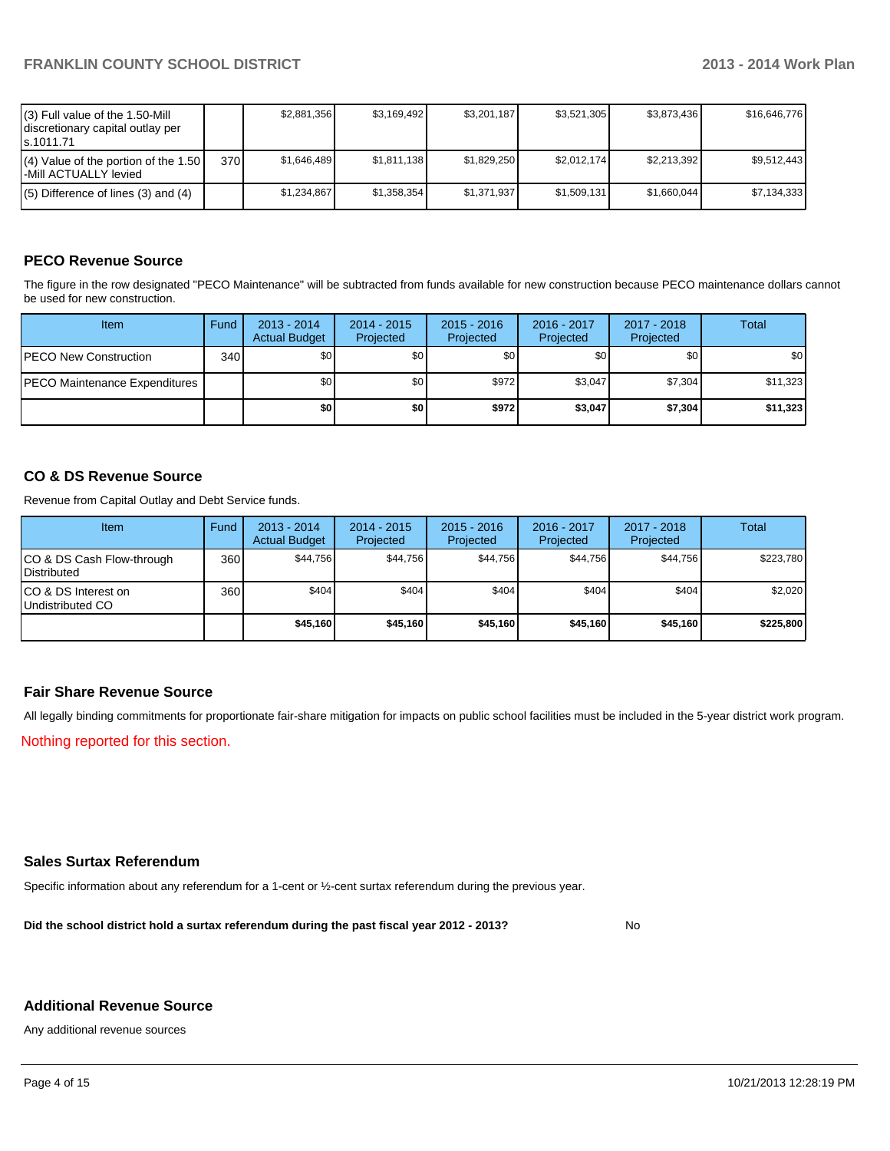| (3) Full value of the 1.50-Mill<br>discretionary capital outlay per<br>ls.1011.71 |     | \$2.881.356 | \$3,169,492 | \$3.201.187 | \$3,521,305 | \$3,873,436 | \$16,646,776 |
|-----------------------------------------------------------------------------------|-----|-------------|-------------|-------------|-------------|-------------|--------------|
| $(4)$ Value of the portion of the 1.50<br>l-Mill ACTUALLY levied                  | 370 | \$1.646.489 | \$1.811.138 | \$1,829,250 | \$2.012.174 | \$2,213,392 | \$9.512.443  |
| $(5)$ Difference of lines (3) and (4)                                             |     | \$1.234.867 | \$1,358,354 | \$1.371.937 | \$1,509,131 | \$1,660,044 | \$7,134,333  |

## **PECO Revenue Source**

The figure in the row designated "PECO Maintenance" will be subtracted from funds available for new construction because PECO maintenance dollars cannot be used for new construction.

| Item                                  | Fund | $2013 - 2014$<br><b>Actual Budget</b> | $2014 - 2015$<br>Projected | $2015 - 2016$<br>Projected | 2016 - 2017<br>Projected | 2017 - 2018<br>Projected | Total    |
|---------------------------------------|------|---------------------------------------|----------------------------|----------------------------|--------------------------|--------------------------|----------|
| <b>IPECO New Construction</b>         | 340  | \$0                                   | \$0                        | \$0                        | \$0 <sub>0</sub>         | \$0                      | \$0      |
| <b>IPECO Maintenance Expenditures</b> |      | \$0 <sub>1</sub>                      | \$0 <sub>1</sub>           | \$972                      | \$3,047                  | \$7,304                  | \$11,323 |
|                                       |      | \$OI                                  | \$0                        | \$972                      | \$3,047                  | \$7,304                  | \$11,323 |

## **CO & DS Revenue Source**

Revenue from Capital Outlay and Debt Service funds.

| Item                                               | Fund | $2013 - 2014$<br><b>Actual Budget</b> | $2014 - 2015$<br>Projected | $2015 - 2016$<br>Projected | $2016 - 2017$<br>Projected | $2017 - 2018$<br>Projected | Total     |
|----------------------------------------------------|------|---------------------------------------|----------------------------|----------------------------|----------------------------|----------------------------|-----------|
| ICO & DS Cash Flow-through<br><b>I</b> Distributed | 360  | \$44.756                              | \$44,756                   | \$44.756                   | \$44.756                   | \$44,756                   | \$223,780 |
| ICO & DS Interest on<br>Undistributed CO           | 360  | \$404                                 | \$404                      | \$404                      | \$404                      | \$404                      | \$2,020   |
|                                                    |      | \$45,160                              | \$45,160                   | \$45,160                   | \$45,160                   | \$45,160                   | \$225,800 |

## **Fair Share Revenue Source**

All legally binding commitments for proportionate fair-share mitigation for impacts on public school facilities must be included in the 5-year district work program.

Nothing reported for this section.

## **Sales Surtax Referendum**

Specific information about any referendum for a 1-cent or ½-cent surtax referendum during the previous year.

**Did the school district hold a surtax referendum during the past fiscal year 2012 - 2013?**

No

#### **Additional Revenue Source**

Any additional revenue sources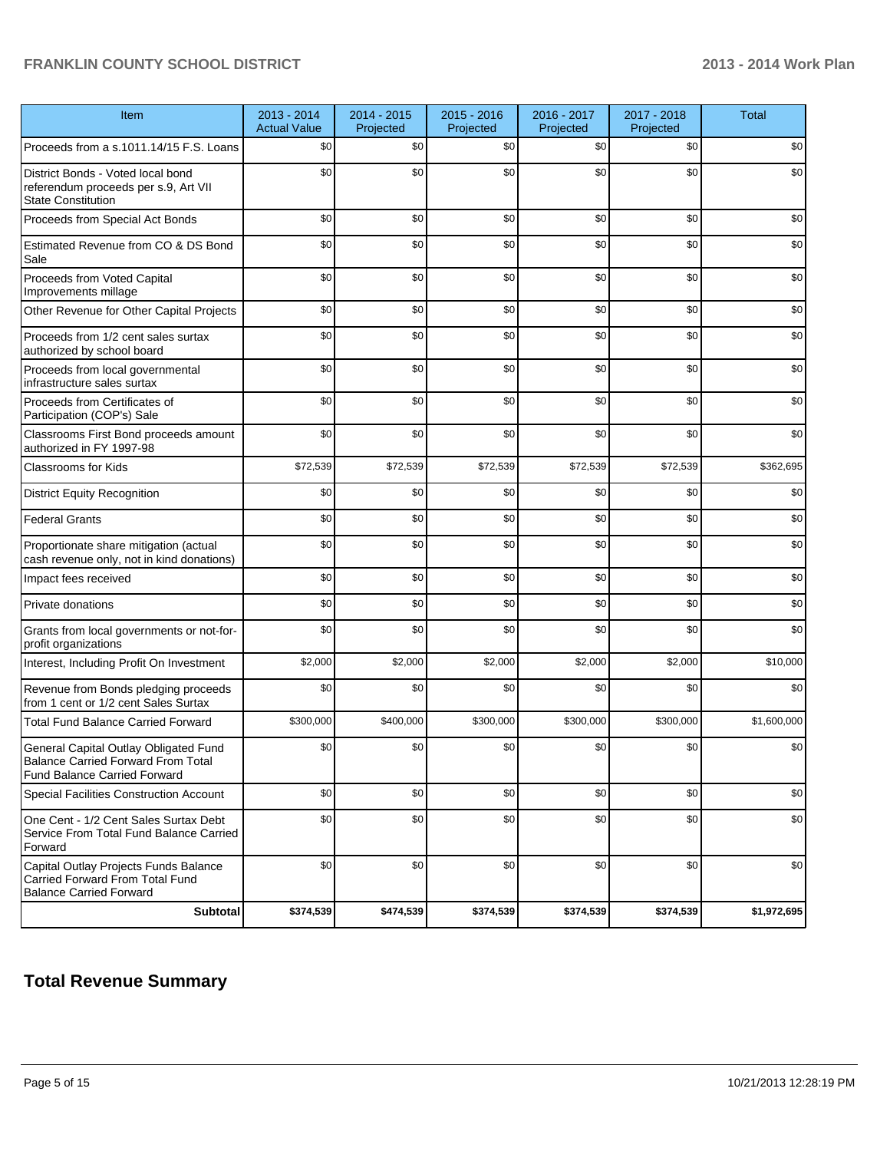| Item                                                                                                                      | 2013 - 2014<br><b>Actual Value</b> | 2014 - 2015<br>Projected | 2015 - 2016<br>Projected | 2016 - 2017<br>Projected | 2017 - 2018<br>Projected | <b>Total</b> |
|---------------------------------------------------------------------------------------------------------------------------|------------------------------------|--------------------------|--------------------------|--------------------------|--------------------------|--------------|
| Proceeds from a s.1011.14/15 F.S. Loans                                                                                   | \$0                                | \$0                      | \$0                      | \$0                      | \$0                      | \$0          |
| District Bonds - Voted local bond<br>referendum proceeds per s.9, Art VII<br><b>State Constitution</b>                    | \$0                                | \$0                      | \$0                      | \$0                      | \$0                      | \$0          |
| Proceeds from Special Act Bonds                                                                                           | \$0                                | \$0                      | \$0                      | \$0                      | \$0                      | \$0          |
| Estimated Revenue from CO & DS Bond<br>Sale                                                                               | \$0                                | \$0                      | \$0                      | \$0                      | \$0                      | \$0          |
| Proceeds from Voted Capital<br>Improvements millage                                                                       | \$0                                | \$0                      | \$0                      | \$0                      | \$0                      | \$0          |
| Other Revenue for Other Capital Projects                                                                                  | \$0                                | \$0                      | \$0                      | \$0                      | \$0                      | \$0          |
| Proceeds from 1/2 cent sales surtax<br>authorized by school board                                                         | \$0                                | \$0                      | \$0                      | \$0                      | \$0                      | \$0          |
| Proceeds from local governmental<br>infrastructure sales surtax                                                           | \$0                                | \$0                      | \$0                      | \$0                      | \$0                      | \$0          |
| Proceeds from Certificates of<br>Participation (COP's) Sale                                                               | \$0                                | \$0                      | \$0                      | \$0                      | \$0                      | \$0          |
| Classrooms First Bond proceeds amount<br>authorized in FY 1997-98                                                         | \$0                                | \$0                      | \$0                      | \$0                      | \$0                      | \$0          |
| <b>Classrooms for Kids</b>                                                                                                | \$72,539                           | \$72,539                 | \$72,539                 | \$72,539                 | \$72,539                 | \$362,695    |
| <b>District Equity Recognition</b>                                                                                        | \$0                                | \$0                      | \$0                      | \$0                      | \$0                      | \$0          |
| <b>Federal Grants</b>                                                                                                     | \$0                                | \$0                      | \$0                      | \$0                      | \$0                      | \$0          |
| Proportionate share mitigation (actual<br>cash revenue only, not in kind donations)                                       | \$0                                | \$0                      | \$0                      | \$0                      | \$0                      | \$0          |
| Impact fees received                                                                                                      | \$0                                | \$0                      | \$0                      | \$0                      | \$0                      | \$0          |
| Private donations                                                                                                         | \$0                                | \$0                      | \$0                      | \$0                      | \$0                      | \$0          |
| Grants from local governments or not-for-<br>profit organizations                                                         | \$0                                | \$0                      | \$0                      | \$0                      | \$0                      | \$0          |
| Interest, Including Profit On Investment                                                                                  | \$2,000                            | \$2,000                  | \$2,000                  | \$2,000                  | \$2,000                  | \$10,000     |
| Revenue from Bonds pledging proceeds<br>from 1 cent or 1/2 cent Sales Surtax                                              | \$0                                | \$0                      | \$0                      | \$0                      | \$0                      | \$0          |
| <b>Total Fund Balance Carried Forward</b>                                                                                 | \$300,000                          | \$400,000                | \$300,000                | \$300,000                | \$300,000                | \$1,600,000  |
| General Capital Outlay Obligated Fund<br><b>Balance Carried Forward From Total</b><br><b>Fund Balance Carried Forward</b> | \$0                                | \$0                      | \$0                      | \$0                      | \$0                      | \$0          |
| Special Facilities Construction Account                                                                                   | \$0                                | \$0                      | \$0                      | \$0                      | \$0                      | \$0          |
| One Cent - 1/2 Cent Sales Surtax Debt<br>Service From Total Fund Balance Carried<br>Forward                               | \$0                                | \$0                      | \$0                      | \$0                      | \$0                      | \$0          |
| Capital Outlay Projects Funds Balance<br>Carried Forward From Total Fund<br><b>Balance Carried Forward</b>                | \$0                                | \$0                      | \$0                      | \$0                      | \$0                      | \$0          |
| Subtotal                                                                                                                  | \$374,539                          | \$474,539                | \$374,539                | \$374,539                | \$374,539                | \$1,972,695  |

## **Total Revenue Summary**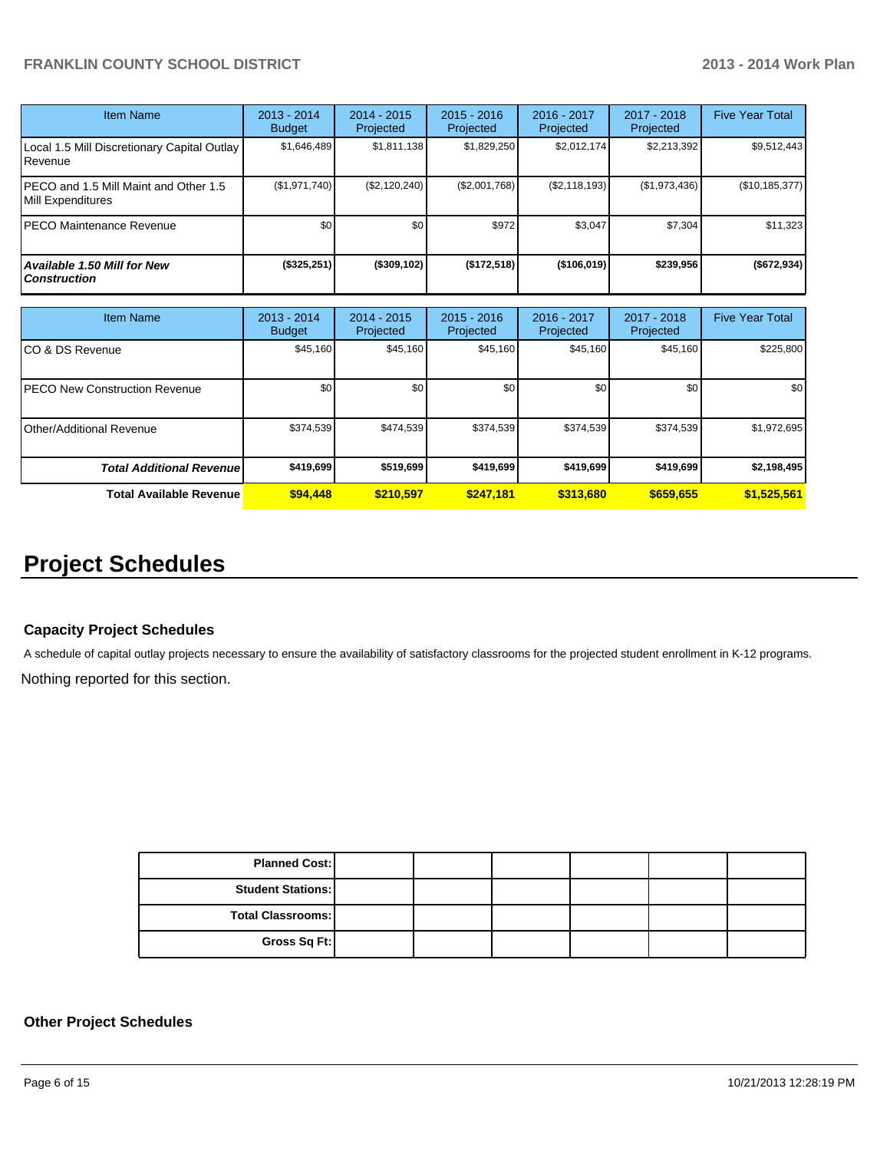| Item Name                                                  | $2013 - 2014$<br><b>Budget</b> | $2014 - 2015$<br>Projected | $2015 - 2016$<br>Projected | $2016 - 2017$<br>Projected | $2017 - 2018$<br>Projected | <b>Five Year Total</b> |
|------------------------------------------------------------|--------------------------------|----------------------------|----------------------------|----------------------------|----------------------------|------------------------|
| Local 1.5 Mill Discretionary Capital Outlay<br>Revenue     | \$1,646,489                    | \$1,811,138                | \$1,829,250                | \$2.012.174                | \$2,213,392                | \$9,512,443            |
| PECO and 1.5 Mill Maint and Other 1.5<br>Mill Expenditures | (\$1,971,740)                  | (\$2,120,240)              | (\$2,001,768)              | (S2, 118, 193)             | (\$1,973,436)              | (\$10, 185, 377)       |
| PECO Maintenance Revenue                                   | \$0                            | \$0                        | \$972                      | \$3.047                    | \$7,304                    | \$11,323               |
| Available 1.50 Mill for New<br><b>Construction</b>         | (\$325,251)                    | $($ \$309,102)             | (\$172,518)                | $($ \$106,019)             | \$239,956                  | ( \$672, 934)          |

| Item Name                            | 2013 - 2014<br><b>Budget</b> | 2014 - 2015<br>Projected | $2015 - 2016$<br>Projected | $2016 - 2017$<br>Projected | $2017 - 2018$<br>Projected | <b>Five Year Total</b> |
|--------------------------------------|------------------------------|--------------------------|----------------------------|----------------------------|----------------------------|------------------------|
| CO & DS Revenue                      | \$45,160                     | \$45,160                 | \$45,160                   | \$45,160                   | \$45,160                   | \$225,800              |
| <b>PECO New Construction Revenue</b> | \$0                          | \$0                      | \$0                        | \$0                        | \$0                        | \$0 <sub>1</sub>       |
| Other/Additional Revenue             | \$374,539                    | \$474,539                | \$374,539                  | \$374,539                  | \$374,539                  | \$1,972,695            |
| <b>Total Additional Revenuel</b>     | \$419,699                    | \$519,699                | \$419,699                  | \$419,699                  | \$419,699                  | \$2,198,495            |
| <b>Total Available Revenue</b>       | \$94,448                     | \$210.597                | \$247.181                  | \$313,680                  | \$659,655                  | \$1,525,561            |

# **Project Schedules**

## **Capacity Project Schedules**

A schedule of capital outlay projects necessary to ensure the availability of satisfactory classrooms for the projected student enrollment in K-12 programs.

Nothing reported for this section.

| <b>Planned Cost:</b>     |  |  |  |
|--------------------------|--|--|--|
| <b>Student Stations:</b> |  |  |  |
| <b>Total Classrooms:</b> |  |  |  |
| Gross Sq Ft:             |  |  |  |

## **Other Project Schedules**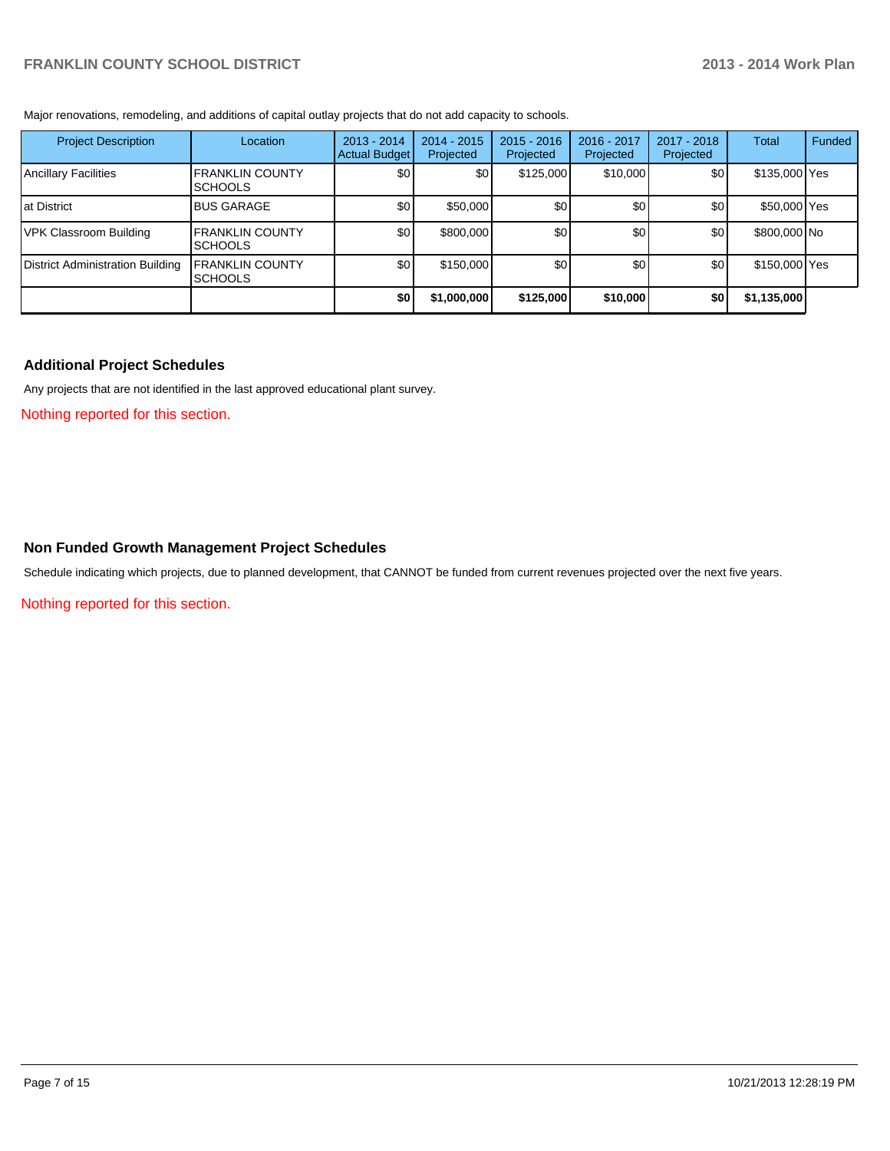Major renovations, remodeling, and additions of capital outlay projects that do not add capacity to schools.

| <b>Project Description</b>       | Location                                   | $2013 - 2014$<br>Actual Budget | $2014 - 2015$<br>Projected | $2015 - 2016$<br>Projected | 2016 - 2017<br>Projected | 2017 - 2018<br>Projected | Total         | Funded |
|----------------------------------|--------------------------------------------|--------------------------------|----------------------------|----------------------------|--------------------------|--------------------------|---------------|--------|
| Ancillary Facilities             | <b>IFRANKLIN COUNTY</b><br><b>ISCHOOLS</b> | \$0                            | \$0                        | \$125,000                  | \$10,000                 | \$0                      | \$135,000 Yes |        |
| Iat District                     | <b>BUS GARAGE</b>                          | \$0                            | \$50,000                   | \$0 <sub>1</sub>           | \$0                      | \$0                      | \$50,000 Yes  |        |
| VPK Classroom Building           | <b>IFRANKLIN COUNTY</b><br><b>ISCHOOLS</b> | \$0                            | \$800,000                  | \$0                        | \$0 <sub>1</sub>         | \$0 <sub>1</sub>         | \$800,000 No  |        |
| District Administration Building | <b>FRANKLIN COUNTY</b><br><b>SCHOOLS</b>   | \$0                            | \$150,000                  | \$0 <sub>1</sub>           | \$0                      | \$0                      | \$150,000 Yes |        |
|                                  |                                            | \$0                            | \$1,000,000                | \$125,000                  | \$10,000                 | \$0                      | \$1,135,000   |        |

## **Additional Project Schedules**

Any projects that are not identified in the last approved educational plant survey.

Nothing reported for this section.

#### **Non Funded Growth Management Project Schedules**

Schedule indicating which projects, due to planned development, that CANNOT be funded from current revenues projected over the next five years.

Nothing reported for this section.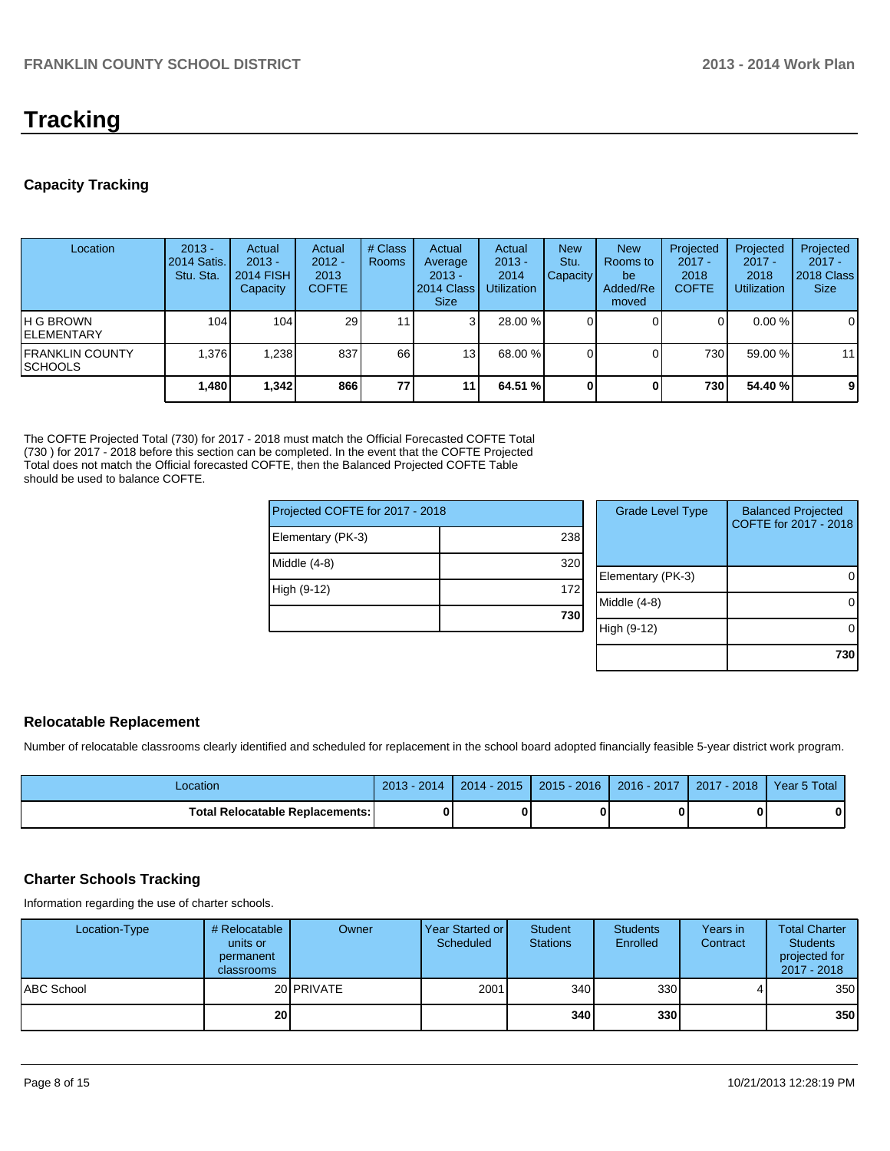# **Tracking**

## **Capacity Tracking**

| Location                            | $2013 -$<br>2014 Satis.<br>Stu. Sta. | Actual<br>$2013 -$<br>2014 FISH<br>Capacity | Actual<br>$2012 -$<br>2013<br><b>COFTE</b> | # Class<br><b>Rooms</b> | Actual<br>Average<br>$2013 -$<br>2014 Class  <br><b>Size</b> | Actual<br>$2013 -$<br>2014<br><b>Utilization</b> | <b>New</b><br>Stu.<br>Capacity | <b>New</b><br>Rooms to<br>be<br>Added/Re<br>moved | Projected<br>$2017 -$<br>2018<br><b>COFTE</b> | Projected<br>$2017 -$<br>2018<br><b>Utilization</b> | Projected<br>$2017 -$<br>2018 Class<br><b>Size</b> |
|-------------------------------------|--------------------------------------|---------------------------------------------|--------------------------------------------|-------------------------|--------------------------------------------------------------|--------------------------------------------------|--------------------------------|---------------------------------------------------|-----------------------------------------------|-----------------------------------------------------|----------------------------------------------------|
| IH G BROWN<br><b>IELEMENTARY</b>    | 104                                  | 104                                         | 29                                         | 11 <sub>1</sub>         | 3                                                            | 28.00 %                                          |                                |                                                   |                                               | $0.00\%$                                            | 0                                                  |
| <b>IFRANKLIN COUNTY</b><br>ISCHOOLS | 1.376                                | .238                                        | 837                                        | 66                      | 13 <sub>1</sub>                                              | 68.00 %                                          |                                |                                                   | 730                                           | 59.00 %                                             | 11                                                 |
|                                     | 1,480                                | 1,342                                       | 866                                        | 77                      | 111                                                          | 64.51 %                                          |                                |                                                   | 730                                           | 54.40 %                                             | 9                                                  |

The COFTE Projected Total (730) for 2017 - 2018 must match the Official Forecasted COFTE Total (730 ) for 2017 - 2018 before this section can be completed. In the event that the COFTE Projected Total does not match the Official forecasted COFTE, then the Balanced Projected COFTE Table should be used to balance COFTE.

| Projected COFTE for 2017 - 2018 |     |  | <b>Grade Level Type</b> | <b>Balanced Projected</b><br>COFTE for 2017 - 2018 |  |
|---------------------------------|-----|--|-------------------------|----------------------------------------------------|--|
| Elementary (PK-3)               | 238 |  |                         |                                                    |  |
| Middle (4-8)                    | 320 |  | Elementary (PK-3)       |                                                    |  |
| High (9-12)                     | 172 |  | Middle (4-8)            |                                                    |  |
|                                 | 730 |  | High (9-12)             |                                                    |  |
|                                 |     |  |                         |                                                    |  |

|  | <b>Relocatable Replacement</b> |
|--|--------------------------------|
|--|--------------------------------|

Number of relocatable classrooms clearly identified and scheduled for replacement in the school board adopted financially feasible 5-year district work program.

| Location                        | 2014<br>2013 | $2014 - 2015$ | $2015 - 2016$ | 2016 - 2017 | 2017 - 2018 | Year 5 Total |
|---------------------------------|--------------|---------------|---------------|-------------|-------------|--------------|
| Total Relocatable Replacements: |              |               |               |             |             | n            |

## **Charter Schools Tracking**

Information regarding the use of charter schools.

| Location-Type     | # Relocatable  <br>units or<br>permanent<br>classrooms | Owner             | Year Started or I<br>Scheduled | Student<br><b>Stations</b> | <b>Students</b><br>Enrolled | Years in<br>Contract | <b>Total Charter</b><br><b>Students</b><br>projected for<br>2017 - 2018 |
|-------------------|--------------------------------------------------------|-------------------|--------------------------------|----------------------------|-----------------------------|----------------------|-------------------------------------------------------------------------|
| <b>ABC School</b> |                                                        | 20 <b>PRIVATE</b> | 2001                           | 340                        | 330 <sup>1</sup>            |                      | 350                                                                     |
|                   | 20 <sub>1</sub>                                        |                   |                                | 340l                       | 330l                        |                      | 350                                                                     |

**730**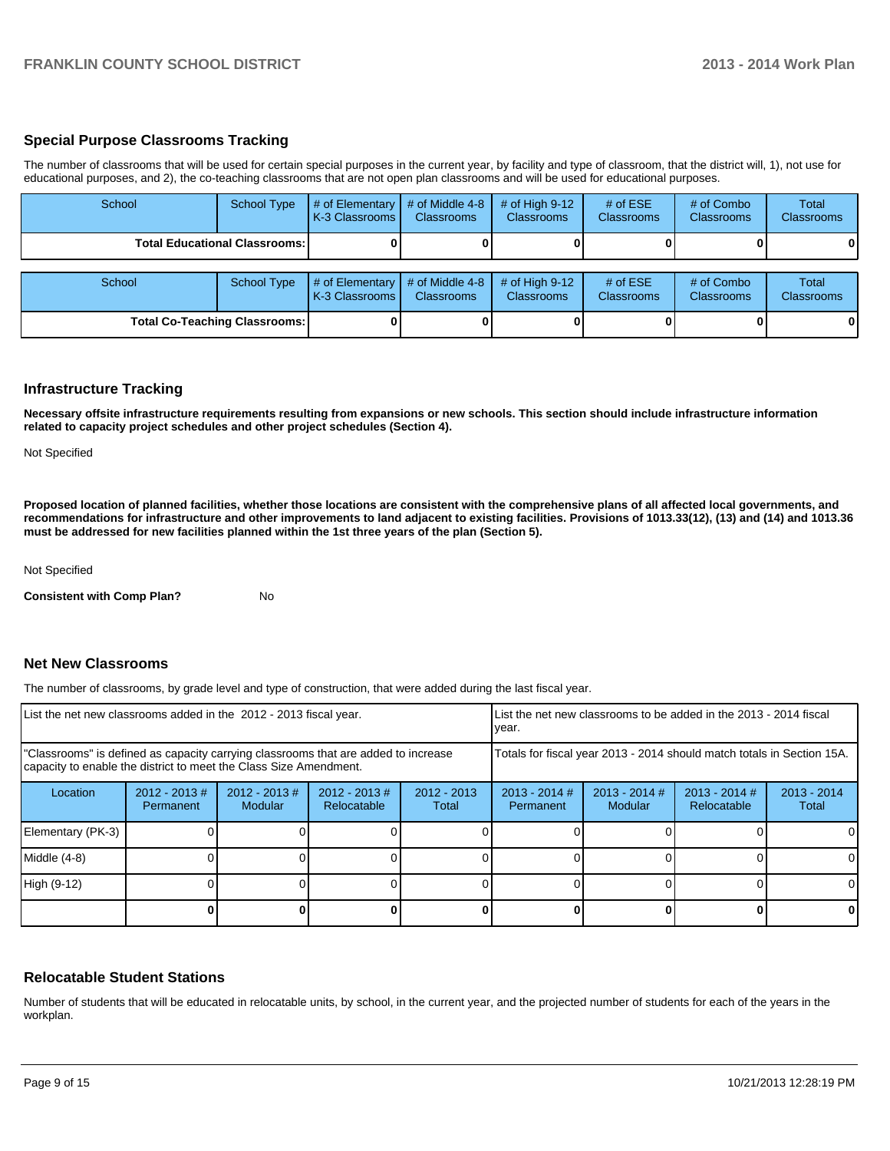## **Special Purpose Classrooms Tracking**

The number of classrooms that will be used for certain special purposes in the current year, by facility and type of classroom, that the district will, 1), not use for educational purposes, and 2), the co-teaching classrooms that are not open plan classrooms and will be used for educational purposes.

| School | <b>School Type</b>                     | $#$ of Elementary<br>K-3 Classrooms | # of Middle 4-8<br><b>Classrooms</b> | # of High $9-12$<br><b>Classrooms</b> | # of $ESE$<br><b>Classrooms</b> | # of Combo<br><b>Classrooms</b> | Total<br>Classrooms |
|--------|----------------------------------------|-------------------------------------|--------------------------------------|---------------------------------------|---------------------------------|---------------------------------|---------------------|
|        | <b>Total Educational Classrooms: I</b> |                                     |                                      |                                       |                                 |                                 | 0                   |
| School | <b>School Type</b>                     | # of Elementary<br>K-3 Classrooms   | # of Middle 4-8<br><b>Classrooms</b> | # of High $9-12$<br><b>Classrooms</b> | # of $ESE$<br><b>Classrooms</b> | # of Combo<br>Classrooms        | Total<br>Classrooms |
|        | <b>Total Co-Teaching Classrooms:</b>   |                                     |                                      |                                       |                                 |                                 | 0                   |

## **Infrastructure Tracking**

**Necessary offsite infrastructure requirements resulting from expansions or new schools. This section should include infrastructure information related to capacity project schedules and other project schedules (Section 4).**

Not Specified

**Proposed location of planned facilities, whether those locations are consistent with the comprehensive plans of all affected local governments, and recommendations for infrastructure and other improvements to land adjacent to existing facilities. Provisions of 1013.33(12), (13) and (14) and 1013.36 must be addressed for new facilities planned within the 1st three years of the plan (Section 5).**

Not Specified

**Consistent with Comp Plan?** No

#### **Net New Classrooms**

The number of classrooms, by grade level and type of construction, that were added during the last fiscal year.

| List the net new classrooms added in the 2012 - 2013 fiscal year.                                                                                       |                               |                            |                                |                                                                        | List the net new classrooms to be added in the 2013 - 2014 fiscal<br>Ivear. |                            |                                |                        |
|---------------------------------------------------------------------------------------------------------------------------------------------------------|-------------------------------|----------------------------|--------------------------------|------------------------------------------------------------------------|-----------------------------------------------------------------------------|----------------------------|--------------------------------|------------------------|
| "Classrooms" is defined as capacity carrying classrooms that are added to increase<br>capacity to enable the district to meet the Class Size Amendment. |                               |                            |                                | Totals for fiscal year 2013 - 2014 should match totals in Section 15A. |                                                                             |                            |                                |                        |
| Location                                                                                                                                                | $2012 - 2013 \#$<br>Permanent | $2012 - 2013$ #<br>Modular | $2012 - 2013$ #<br>Relocatable | $2012 - 2013$<br>Total                                                 | $2013 - 2014$ #<br>Permanent                                                | $2013 - 2014$ #<br>Modular | $2013 - 2014$ #<br>Relocatable | $2013 - 2014$<br>Total |
| Elementary (PK-3)                                                                                                                                       |                               |                            |                                |                                                                        |                                                                             |                            |                                |                        |
| Middle (4-8)                                                                                                                                            |                               |                            |                                |                                                                        |                                                                             |                            |                                |                        |
| High (9-12)                                                                                                                                             |                               |                            |                                |                                                                        |                                                                             |                            |                                |                        |
|                                                                                                                                                         |                               |                            |                                |                                                                        |                                                                             |                            |                                | 0                      |

#### **Relocatable Student Stations**

Number of students that will be educated in relocatable units, by school, in the current year, and the projected number of students for each of the years in the workplan.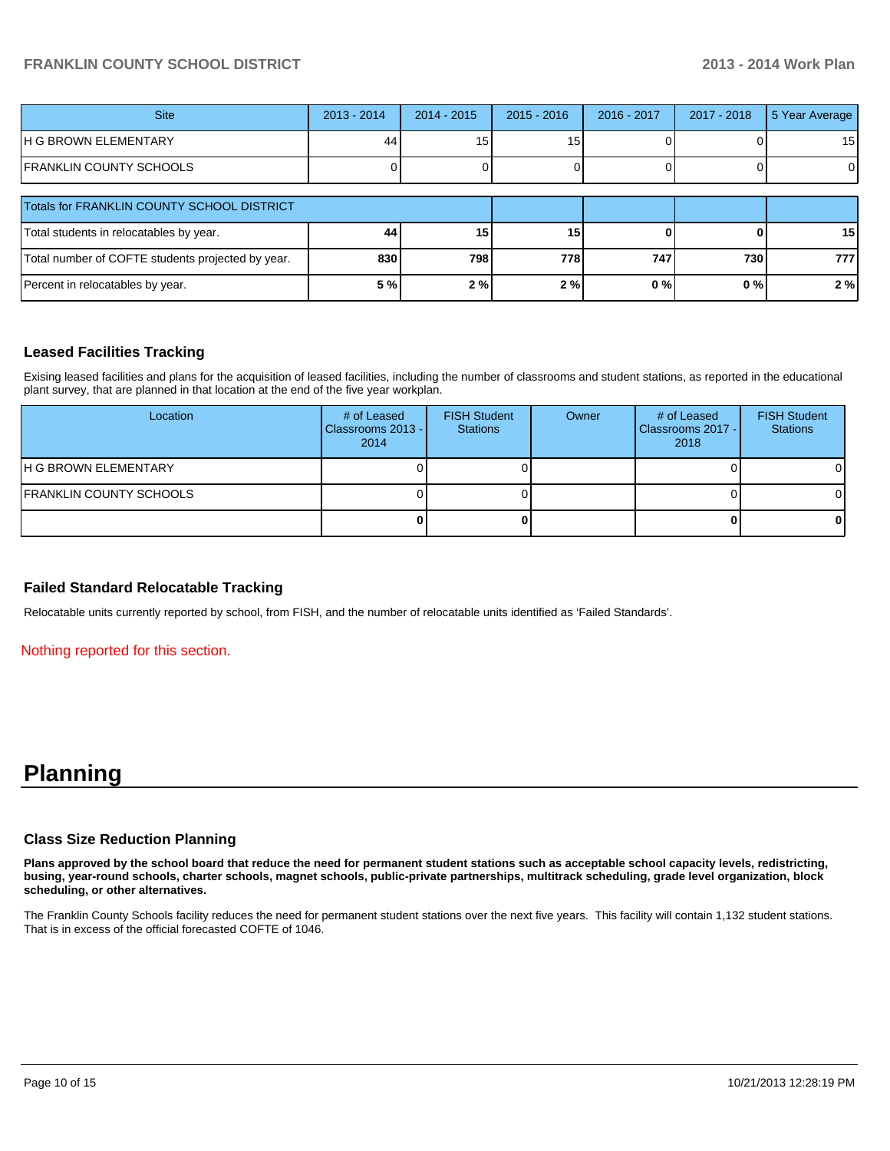| <b>Site</b>                                       | $2013 - 2014$ | $2014 - 2015$ | $2015 - 2016$   | 2016 - 2017 | $2017 - 2018$ | 5 Year Average  |
|---------------------------------------------------|---------------|---------------|-----------------|-------------|---------------|-----------------|
| IH G BROWN ELEMENTARY                             | 44            | 15            | 15              |             |               | 15 <sub>l</sub> |
| FRANKLIN COUNTY SCHOOLS                           |               |               |                 |             |               | ΟI              |
| Totals for FRANKLIN COUNTY SCHOOL DISTRICT        |               |               |                 |             |               |                 |
| Total students in relocatables by year.           | 44            | 15            | 15 <sub>1</sub> |             |               | 15 <sub>l</sub> |
| Total number of COFTE students projected by year. | 830           | 798           | 778 I           | 747         | 730           | 777 I           |
| Percent in relocatables by year.                  | 5 %l          | 2%            | 2%              | 0%          | 0%            | 2%              |

## **Leased Facilities Tracking**

Exising leased facilities and plans for the acquisition of leased facilities, including the number of classrooms and student stations, as reported in the educational plant survey, that are planned in that location at the end of the five year workplan.

| Location                       | # of Leased<br>Classrooms 2013 -<br>2014 | <b>FISH Student</b><br><b>Stations</b> | Owner | # of Leased<br>Classrooms 2017 -<br>2018 | <b>FISH Student</b><br><b>Stations</b> |
|--------------------------------|------------------------------------------|----------------------------------------|-------|------------------------------------------|----------------------------------------|
| <b>IH G BROWN ELEMENTARY</b>   |                                          |                                        |       |                                          |                                        |
| <b>FRANKLIN COUNTY SCHOOLS</b> |                                          |                                        |       |                                          |                                        |
|                                |                                          |                                        |       |                                          |                                        |

## **Failed Standard Relocatable Tracking**

Relocatable units currently reported by school, from FISH, and the number of relocatable units identified as 'Failed Standards'.

Nothing reported for this section.

# **Planning**

#### **Class Size Reduction Planning**

**Plans approved by the school board that reduce the need for permanent student stations such as acceptable school capacity levels, redistricting, busing, year-round schools, charter schools, magnet schools, public-private partnerships, multitrack scheduling, grade level organization, block scheduling, or other alternatives.**

The Franklin County Schools facility reduces the need for permanent student stations over the next five years. This facility will contain 1,132 student stations. That is in excess of the official forecasted COFTE of 1046.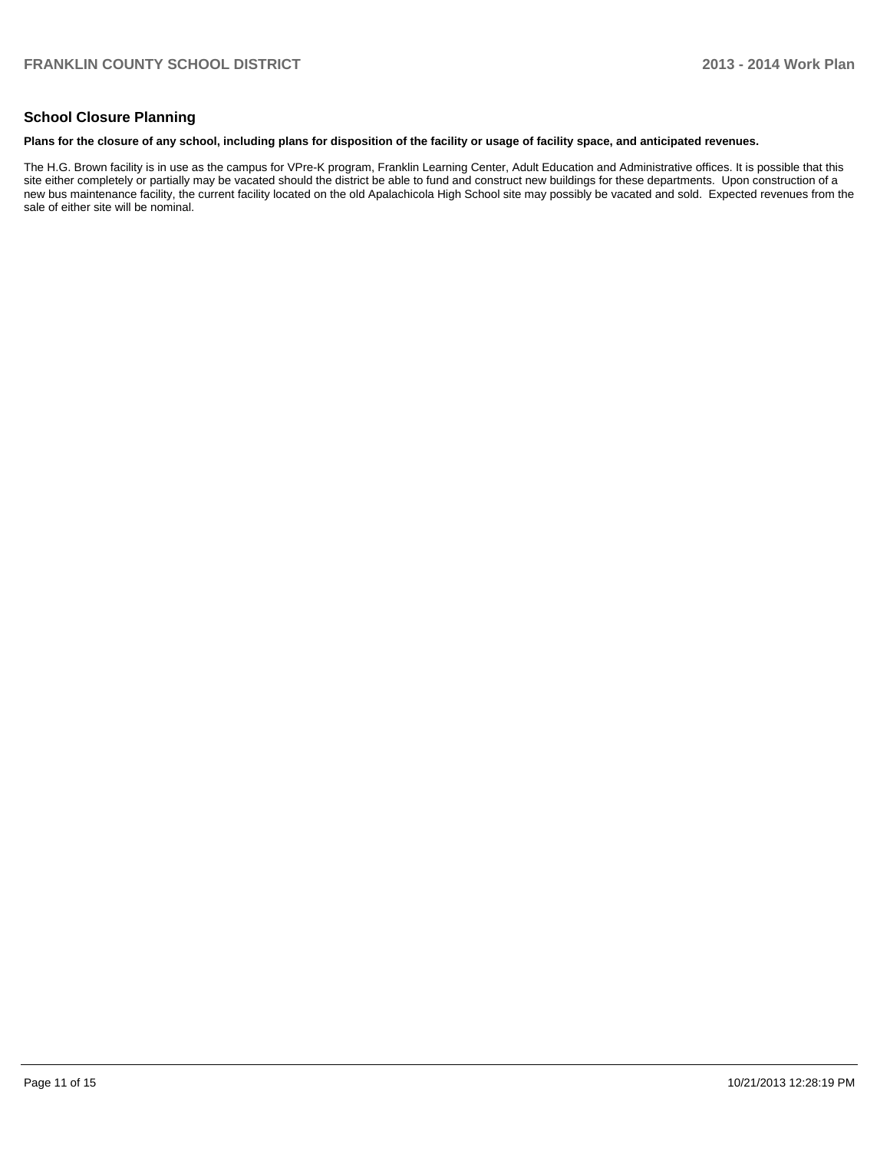## **School Closure Planning**

#### **Plans for the closure of any school, including plans for disposition of the facility or usage of facility space, and anticipated revenues.**

The H.G. Brown facility is in use as the campus for VPre-K program, Franklin Learning Center, Adult Education and Administrative offices. It is possible that this site either completely or partially may be vacated should the district be able to fund and construct new buildings for these departments. Upon construction of a new bus maintenance facility, the current facility located on the old Apalachicola High School site may possibly be vacated and sold. Expected revenues from the sale of either site will be nominal.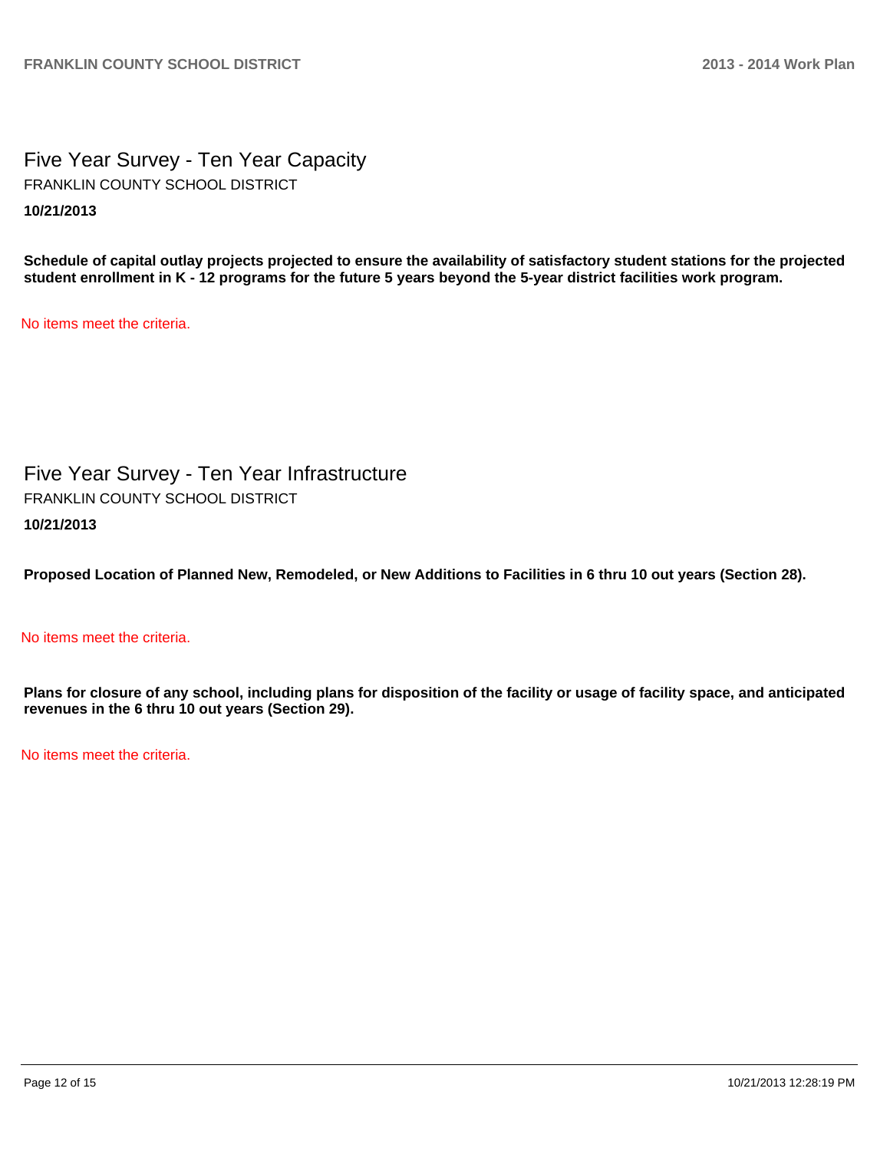Five Year Survey - Ten Year Capacity **10/21/2013** FRANKLIN COUNTY SCHOOL DISTRICT

**Schedule of capital outlay projects projected to ensure the availability of satisfactory student stations for the projected student enrollment in K - 12 programs for the future 5 years beyond the 5-year district facilities work program.**

No items meet the criteria.

Five Year Survey - Ten Year Infrastructure **10/21/2013** FRANKLIN COUNTY SCHOOL DISTRICT

**Proposed Location of Planned New, Remodeled, or New Additions to Facilities in 6 thru 10 out years (Section 28).**

## No items meet the criteria.

**Plans for closure of any school, including plans for disposition of the facility or usage of facility space, and anticipated revenues in the 6 thru 10 out years (Section 29).**

No items meet the criteria.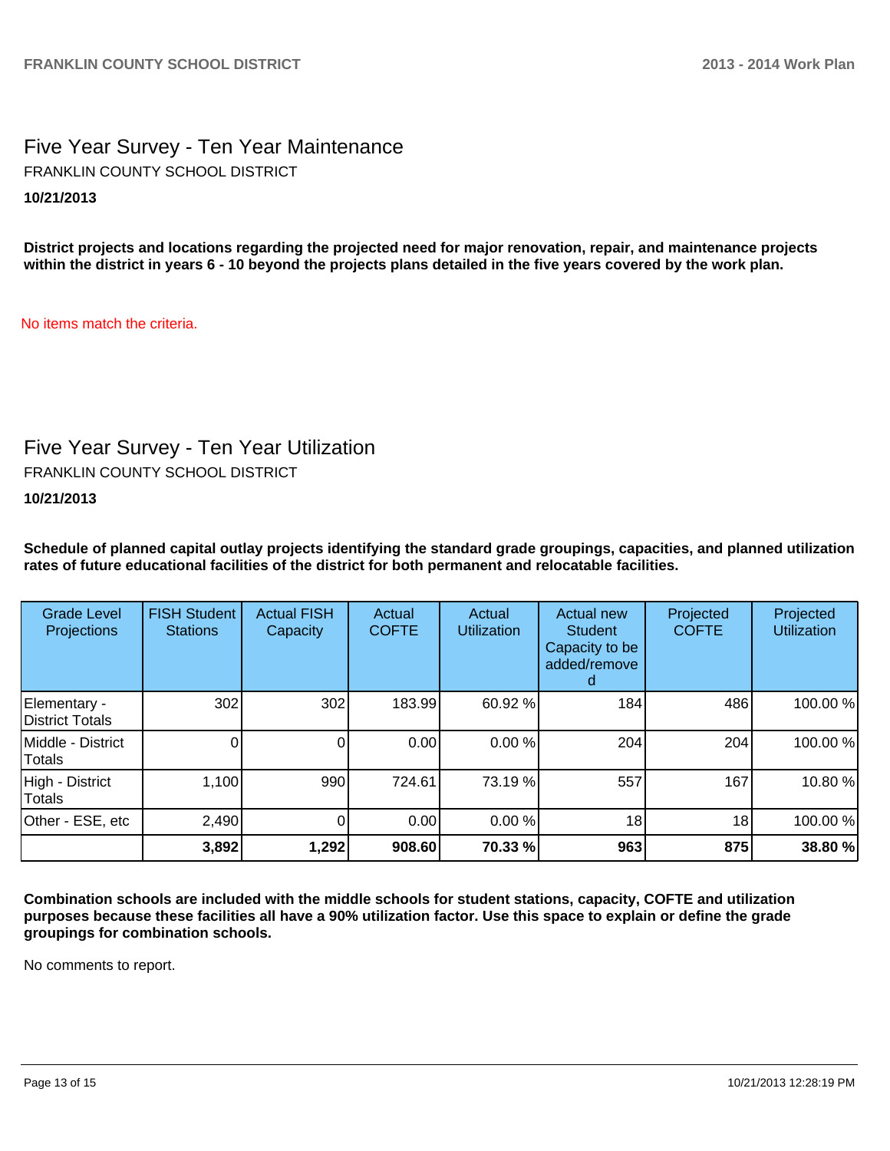Five Year Survey - Ten Year Maintenance **10/21/2013** FRANKLIN COUNTY SCHOOL DISTRICT

**District projects and locations regarding the projected need for major renovation, repair, and maintenance projects within the district in years 6 - 10 beyond the projects plans detailed in the five years covered by the work plan.**

No items match the criteria.

## Five Year Survey - Ten Year Utilization

FRANKLIN COUNTY SCHOOL DISTRICT

**10/21/2013**

**Schedule of planned capital outlay projects identifying the standard grade groupings, capacities, and planned utilization rates of future educational facilities of the district for both permanent and relocatable facilities.**

| <b>Grade Level</b><br>Projections  | <b>FISH Student</b><br><b>Stations</b> | <b>Actual FISH</b><br>Capacity | Actual<br><b>COFTE</b> | Actual<br><b>Utilization</b> | Actual new<br><b>Student</b><br>Capacity to be<br>added/remove<br>d | Projected<br><b>COFTE</b> | Projected<br><b>Utilization</b> |
|------------------------------------|----------------------------------------|--------------------------------|------------------------|------------------------------|---------------------------------------------------------------------|---------------------------|---------------------------------|
| Elementary -<br>District Totals    | 302                                    | 302                            | 183.99                 | 60.92 %                      | 184                                                                 | 486                       | 100.00%                         |
| Middle - District<br><b>Totals</b> |                                        |                                | 0.00                   | 0.00%                        | 204                                                                 | 204                       | 100.00%                         |
| High - District<br><b>Totals</b>   | 1,100                                  | 990                            | 724.61                 | 73.19 %                      | 557                                                                 | 167                       | 10.80%                          |
| Other - ESE, etc                   | 2,490                                  |                                | 0.00                   | 0.00 %                       | 18                                                                  | 18 <sub>1</sub>           | 100.00%                         |
|                                    | 3,892                                  | 1,292                          | 908.60                 | 70.33 %                      | 963                                                                 | 875                       | 38.80 %                         |

**Combination schools are included with the middle schools for student stations, capacity, COFTE and utilization purposes because these facilities all have a 90% utilization factor. Use this space to explain or define the grade groupings for combination schools.**

No comments to report.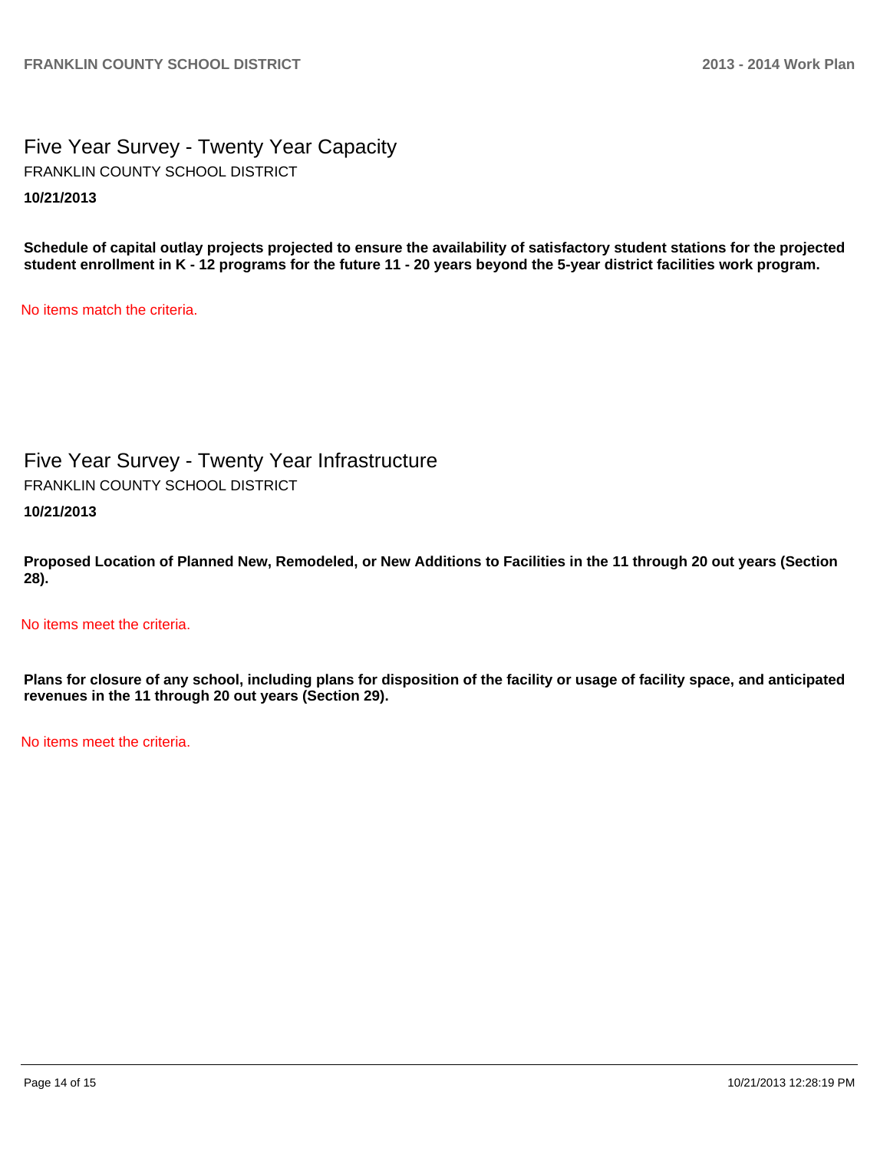Five Year Survey - Twenty Year Capacity **10/21/2013** FRANKLIN COUNTY SCHOOL DISTRICT

**Schedule of capital outlay projects projected to ensure the availability of satisfactory student stations for the projected student enrollment in K - 12 programs for the future 11 - 20 years beyond the 5-year district facilities work program.**

No items match the criteria.

Five Year Survey - Twenty Year Infrastructure **10/21/2013** FRANKLIN COUNTY SCHOOL DISTRICT

**Proposed Location of Planned New, Remodeled, or New Additions to Facilities in the 11 through 20 out years (Section 28).**

No items meet the criteria.

**Plans for closure of any school, including plans for disposition of the facility or usage of facility space, and anticipated revenues in the 11 through 20 out years (Section 29).**

No items meet the criteria.